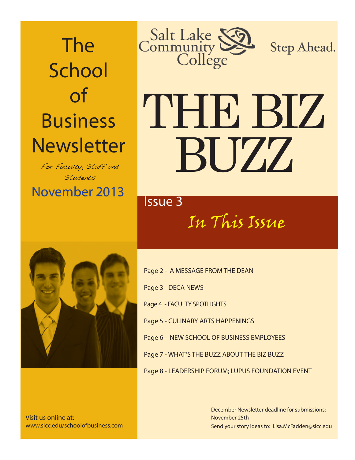The **School** of Business **Newsletter** 

November 2013 November 2013 For Faculty, Staff and Students



Visit us online at: www.slcc.edu/schoolofbusiness.com



Step Ahead.

# THE BIZ BUZZ

In This Issue

Page 2 - A MESSAGE FROM THE DEAN Page 3 - DECA NEWS Page 4 - FACULTY SPOTLIGHTS Page 5 - CULINARY ARTS HAPPENINGS Page 6 - NEW SCHOOL OF BUSINESS EMPLOYEES Page 7 - WHAT'S THE BUZZ ABOUT THE BIZ BUZZ Page 8 - LEADERSHIP FORUM; LUPUS FOUNDATION EVENT

> Send your story ideas to: Lisa.McFadden@slcc.edu December Newsletter deadline for submissions: November 25th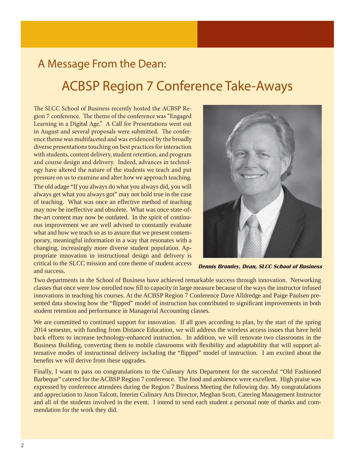### A Message From the Dean:

## ACBSP Region 7 Conference Take-Aways

The SLCC School of Business recently hosted the ACBSP Region 7 conference. The theme of the conference was "Engaged" Learning in a Digital Age." A Call for Presentations went out in August and several proposals were submitted. The conference theme was multifaceted and was evidenced by the broadly diverse presentations touching on best practices for interaction with students, content delivery, student retention, and program and course design and delivery. Indeed, advances in technology have altered the nature of the students we teach and put pressure on us to examine and alter how we approach teaching. The old adage "If you always do what you always did, you will always get what you always got" may not hold true in the case of teaching. What was once an effective method of teaching may now be ineffective and obsolete. What was once state-ofthe-art content may now be outdated. In the spirit of continuous improvement we are well advised to constantly evaluate what and how we teach so as to assure that we present contemporary, meaningful information in a way that resonates with a changing, increasingly more diverse student population. Appropriate innovation in instructional design and delivery is critical to the SLCC mission and core theme of student access and success.



 **Dennis Bromley, Dean, SLCC School of Business**

Two departments in the School of Business have achieved remarkable success through innovation. Networking classes that once were low enrolled now fill to capacity in large measure because of the ways the instructor infused innovations in teaching his courses. At the ACBSP Region 7 Conference Dave Alldredge and Paige Paulsen presented data showing how the "flipped" model of instruction has contributed to significant improvements in both student retention and performance in Managerial Accounting classes.

We are committed to continued support for innovation. If all goes according to plan, by the start of the spring 2014 semester, with funding from Distance Education, we will address the wireless access issues that have held back efforts to increase technology-enhanced instruction. In addition, we will renovate two classrooms in the Business Building, converting them to mobile classrooms with flexibility and adaptability that will support alternative modes of instructional delivery including the "flipped" model of instruction. I am excited about the benefits we will derive from these upgrades.

Finally, I want to pass on congratulations to the Culinary Arts Department for the successful "Old Fashioned Barbeque" catered for the ACBSP Region 7 conference. The food and ambience were excellent. High praise was expressed by conference attendees during the Region 7 Business Meeting the following day. My congratulations and appreciation to Jason Talcott, Interim Culinary Arts Director, Meghan Scott, Catering Management Instructor and all of the students involved in the event. I intend to send each student a personal note of thanks and commendation for the work they did.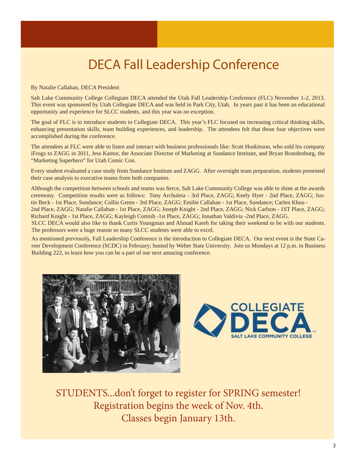## DECA Fall Leadership Conference

By Natalie Callahan, DECA President

Salt Lake Community College Collegiate DECA attended the Utah Fall Leadership Conference (FLC) November 1-2, 2013. This event was sponsored by Utah Collegiate DECA and was held in Park City, Utah. In years past it has been an educational opportunity and experience for SLCC students, and this year was no exception.

The goal of FLC is to introduce students to Collegiate DECA. This year's FLC focused on increasing critical thinking skills, enhancing presentation skills, team building experiences, and leadership. The attendees felt that those four objectives were accomplished during the conference.

The attendees at FLC were able to listen and interact with business professionals like: Scott Huskinson, who sold his company iFrogz to ZAGG in 2011, Jess Kantor, the Associate Director of Marketing at Sundance Institute, and Bryan Brandenburg, the "Marketing Superhero" for Utah Comic Con.

Every student evaluated a case study from Sundance Institute and ZAGG. After overnight team preparation, students presented their case analysis to executive teams from both companies.

Although the competition between schools and teams was fierce, Salt Lake Community College was able to shine at the awards ceremony. Competition results were as follows: Tony Archuleta - 3rd Place, ZAGG; Keely Hyer - 2nd Place, ZAGG; Justin Beck - 1st Place, Sundance; Collin Green - 3rd Place, ZAGG; Emilie Callahan - 1st Place, Sundance; Carlen Khuu - 2nd Place, ZAGG; Natalie Callahan - 1st Place, ZAGG; Joseph Knight - 2nd Place, ZAGG; Nick Carlson - 1ST Place, ZAGG; Richard Knight - 1st Place, ZAGG; Kayleigh Comish -1st Place, ZAGG; Jonathan Valdivia -2nd Place, ZAGG. SLCC DECA would also like to thank Curtis Youngman and Ahmad Kareh for taking their weekend to be with our students. The professors were a huge reason so many SLCC students were able to excel.

As mentioned previously, Fall Leadership Conference is the introduction to Collegiate DECA. Our next event is the State Career Development Conference (SCDC) in February; hosted by Weber State University. Join us Mondays at 12 p.m. in Business Building 222, to learn how you can be a part of our next amazing conference.





STUDENTS...don't forget to register for SPRING semester! Registration begins the week of Nov. 4th. Classes begin January 13th.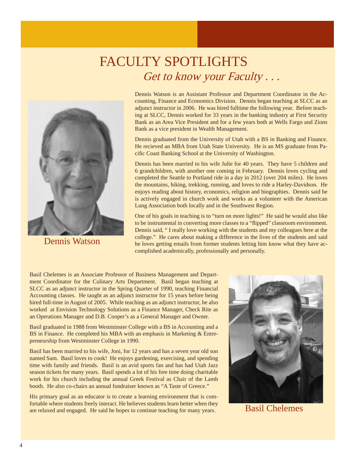## FACULTY SPOTLIGHTS Get to know your Faculty . . .



Dennis Watson

Dennis Watson is an Assistant Professor and Department Coordinator in the Accounting, Finance and Economics Division. Dennis began teaching at SLCC as an adjunct instructor in 2006. He was hired fulltime the following year. Before teaching at SLCC, Dennis worked for 33 years in the banking industry at First Security Bank as an Area Vice President and for a few years both at Wells Fargo and Zions Bank as a vice president in Wealth Management.

Dennis graduated from the University of Utah with a BS in Banking and Finance. He recieved an MBA from Utah State University. He is an MS graduate from Pacific Coast Banking School at the University of Washington.

Dennis has been married to his wife Julie for 40 years. They have 5 children and 6 grandchildren, with another one coming in February. Dennis loves cycling and completed the Seattle to Portland ride in a day in 2012 (over 204 miles). He loves the mountains, hiking, trekking, running, and loves to ride a Harley-Davidson. He enjoys reading about history, economics, religion and biographies. Dennis said he is actively engaged in church work and works as a volunteer with the American Lung Association both locally and in the Southwest Region.

One of his goals in teaching is to "turn on more lights!" He said he would also like to be instrumental in converting more classes to a "flipped" classroom environment. Dennis said, " I really love working with the students and my colleagues here at the college." He cares about making a difference in the lives of the students and said he loves getting emails from former students letting him know what they have accomplished academically, professionally and personally.

Basil Chelemes is an Associate Professor of Business Management and Department Coordinator for the Culinary Arts Department. Basil began teaching at SLCC as an adjunct instructor in the Spring Quarter of 1990, teaching Financial Accounting classes. He taught as an adjunct instructor for 15 years before being hired full-time in August of 2005. While teaching as an adjunct instructor, he also worked at Envision Technology Solutions as a Finance Manager, Check Rite as an Operations Manager and D.B. Cooper's as a General Manager and Owner.

Basil graduated in 1988 from Westminster College with a BS in Accounting and a BS in Finance. He completed his MBA with an emphasis in Marketing & Entrepreneurship from Westminster College in 1990.

Basil has been married to his wife, Joni, for 12 years and has a seven year old son named Sam. Basil loves to cook! He enjoys gardening, exercising, and spending time with family and friends. Basil is an avid sports fan and has had Utah Jazz season tickets for many years. Basil spends a lot of his free time doing charitable work for his church including the annual Greek Festival as Chair of the Lamb booth. He also co-chairs an annual fundraiser known as "A Taste of Greece."

His primary goal as an educator is to create a learning environment that is comfortable where students freely interact. He believes students learn better when they Fortable where students freely interact. He beheves students learn better when they<br>are relaxed and engaged. He said he hopes to continue teaching for many years. Basil Chelemes

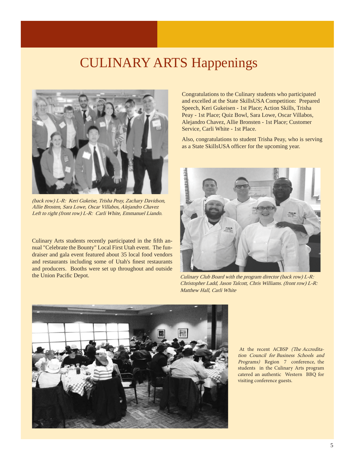## CULINARY ARTS Happenings



(back row) L-R: Keri Gukeise, Trisha Peay, Zachary Davidson, Allie Brosten, Sara Lowe, Oscar Villabos, Alejandro Chavez Left to right (front row) L-R: Carli White, Emmanuel Liando.

Culinary Arts students recently participated in the fifth annual "Celebrate the Bounty" Local First Utah event. The fundraiser and gala event featured about 35 local food vendors and restaurants including some of Utah's finest restaurants and producers. Booths were set up throughout and outside the Union Pacific Depot.

Congratulations to the Culinary students who participated and excelled at the State SkillsUSA Competition: Prepared Speech, Keri Gukeisen - 1st Place; Action Skills, Trisha Peay - 1st Place; Quiz Bowl, Sara Lowe, Oscar Villabos, Alejandro Chavez, Allie Bronsten - 1st Place; Customer Service, Carli White - 1st Place.

Also, congratulations to student Trisha Peay, who is serving as a State SkillsUSA officer for the upcoming year.



Culinary Club Board with the program director (back row) L-R: Christopher Ladd, Jason Talcott, Chris Williams. (front row) L-R: Matthew Hall, Carli White



At the recent ACBSP (The Accreditation Council for Business Schools and Programs) Region 7 conference, the students in the Culinary Arts program catered an authentic Western BBQ for visiting conference guests.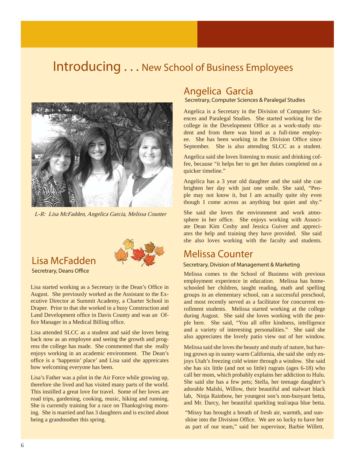#### Introducing . . . New School of Business Employees



L-R: Lisa McFadden, Angelica Garcia, Melissa Counter



Secretrary, Deans Office

Lisa started working as a Secretary in the Dean's Office in August. She previously worked as the Assistant to the Executive Director at Summit Academy, a Charter School in Draper. Prior to that she worked in a busy Construction and Land Development office in Davis County and was an Office Manager in a Medical Billing office.

Lisa attended SLCC as a student and said she loves being back now as an employee and seeing the growth and progress the college has made. She commented that she really enjoys working in an academic environment. The Dean's office is a 'happenin' place' and Lisa said she appreicates how welcoming everyone has been.

Lisa's Father was a pilot in the Air Force while growing up, therefore she lived and has visited many parts of the world. This instilled a great love for travel. Some of her loves are road trips, gardening, cooking, music, hiking and running. She is currently training for a race on Thanksgiving morning. She is married and has 3 daughters and is excited about being a grandmother this spring.

#### Angelica Garcia

Secretrary, Computer Sciences & Paralegal Studies

Angelica is a Secretary in the Division of Computer Sciences and Paralegal Studies. She started working for the college in the Development Office as a work-study student and from there was hired as a full-time employee. She has been working in the Division Office since September. She is also attending SLCC as a student.

Angelica said she loves listening to music and drinking coffee, because "it helps her to get her duties completed on a quicker timeline."

Angelica has a 3 year old daughter and she said she can brighten her day with just one smile. She said, "People may not know it, but I am actually quite shy even though I come across as anything but quiet and shy."

She said she loves the environment and work atmosphere in her office. She enjoys working with Associate Dean Kim Cosby and Jessica Guiver and appreciates the help and training they have provided. She said she also loves working with the faculty and students.

#### Melissa Counter

Melissa comes to the School of Business with previous employment experience in education. Melissa has homeschooled her children, taught reading, math and spelling groups in an elementary school, ran a successful preschool, and most recently served as a facilitator for concurrent enrollment students. Melissa started working at the college during August. She said she loves working with the people here. She said, "You all offer kindness, intelligence and a variety of interesting personalities." She said she also appreciates the lovely patio view out of her window.

Melissa said she loves the beauty and study of nature, but having grown up in sunny warm California, she said she only enjoys Utah's freezing cold winter through a window. She said she has six little (and not so little) rugrats (ages 6-18) who call her mom, which probably explains her addiction to Hulu. She said she has a few pets; Stella, her teenage daughter's adorable Malshi, Willow, their beautiful and stalwart black lab, Ninja Rainbow, her youngest son's non-buoyant betta, and Mr. Darcy, her beautiful sparkling teal/aqua blue betta.

"Missy has brought a breath of fresh air, warmth, and sunshine into the Division Office. We are so lucky to have her as part of our team," said her supervisor, Barbie Willett.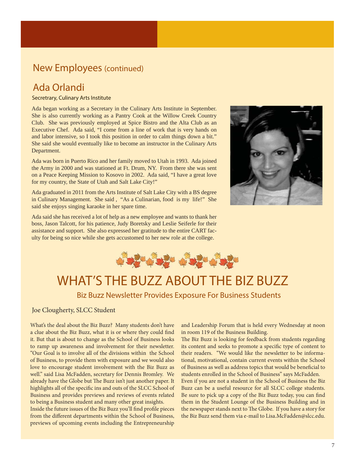## **New Employees** (continued) **Section** Section

#### Ada Orlandi

I

## AAG UITANAI<br>Secretrary, Culinary Arts Institute

Ada began working as a Secretary in the Culinary Arts Institute in September. She is also currently working as a Pantry Cook at the Willow Creek Country Club. She was previously employed at Spice Bistro and the Alta Club as an Executive Chef. Ada said, "I come from a line of work that is very hands on and labor intensive, so I took this position in order to calm things down a bit." She said she would eventually like to become an instructor in the Culinary Arts Department.

Ada was born in Puerto Rico and her family moved to Utah in 1993. Ada joined the Army in 2000 and was stationed at Ft. Drum, NY. From there she was sent on a Peace Keeping Mission to Kosovo in 2002. Ada said, "I have a great love for my country, the State of Utah and Salt Lake City!"

Ada graduated in 2011 from the Arts Institute of Salt Lake City with a BS degree in Culinary Management. She said , "As a Culinarian, food is my life!" She said she enjoys singing karaoke in her spare time.

Ada said she has received a lot of help as a new employee and wants to thank her boss, Jason Talcott, for his patience, Judy Boretsky and Leslie Seiferle for their assistance and support. She also expressed her gratitude to the entire CART faculty for being so nice while she gets accustomed to her new role at the college.





## WHAT'S THE BUZZ ABOUT THE BIZ BUZZ

#### Biz Buzz Newsletter Provides Exposure For Business Students

Joe Clougherty, SLCC Student

What's the deal about the Biz Buzz? Many students don't have a clue about the Biz Buzz, what it is or where they could find it. But that is about to change as the School of Business looks to ramp up awareness and involvement for their newsletter. "Our Goal is to involve all of the divisions within the School of Business, to provide them with exposure and we would also love to encourage student involvement with the Biz Buzz as well." said Lisa McFadden, secretary for Dennis Bromley. We already have the Globe but The Buzz isn't just another paper. It highlights all of the specific ins and outs of the SLCC School of Business and provides previews and reviews of events related to being a Business student and many other great insights.

Inside the future issues of the Biz Buzz you'll find profile pieces from the different departments within the School of Business, previews of upcoming events including the Entrepreneurship

and Leadership Forum that is held every Wednesday at noon in room 119 of the Business Building.

The Biz Buzz is looking for feedback from students regarding its content and seeks to promote a specific type of content to their readers. "We would like the newsletter to be informational, motivational, contain current events within the School of Business as well as address topics that would be beneficial to students enrolled in the School of Business" says McFadden. Even if you are not a student in the School of Business the Biz Buzz can be a useful resource for all SLCC college students. Be sure to pick up a copy of the Biz Buzz today, you can find them in the Student Lounge of the Business Building and in the newspaper stands next to The Globe. If you have a story for the Biz Buzz send them via e-mail to Lisa.McFadden@slcc.edu.